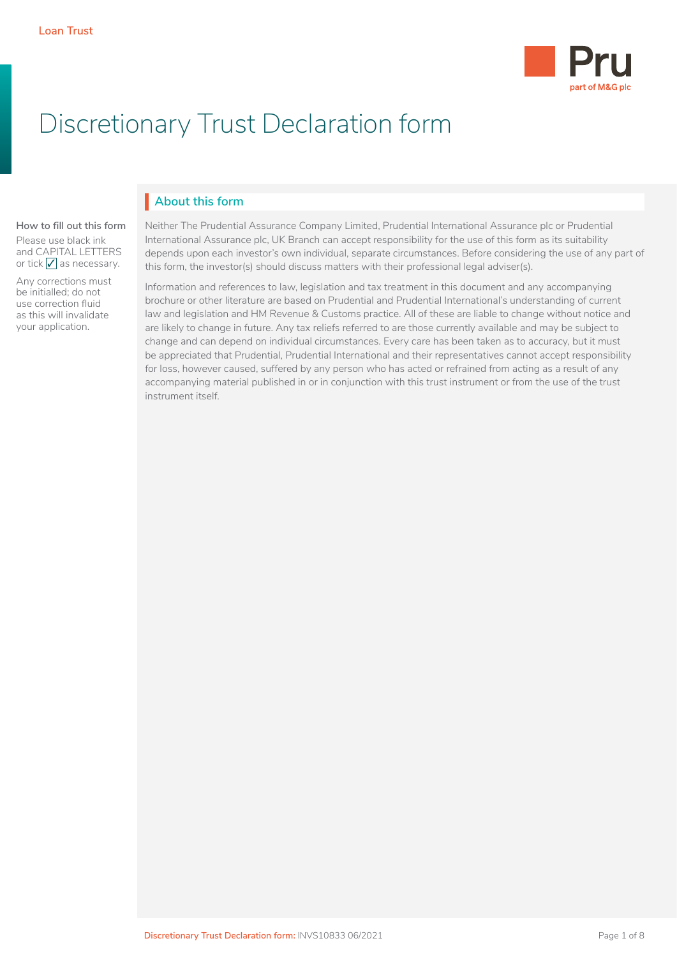

# Discretionary Trust Declaration form

# **About this form** I

#### **How to fill out this form**

Please use black ink and CAPITAL LETTERS or tick  $\sqrt{\ }$  as necessary.

Any corrections must be initialled; do not use correction fluid as this will invalidate your application.

Neither The Prudential Assurance Company Limited, Prudential International Assurance plc or Prudential International Assurance plc, UK Branch can accept responsibility for the use of this form as its suitability depends upon each investor's own individual, separate circumstances. Before considering the use of any part of this form, the investor(s) should discuss matters with their professional legal adviser(s).

Information and references to law, legislation and tax treatment in this document and any accompanying brochure or other literature are based on Prudential and Prudential International's understanding of current law and legislation and HM Revenue & Customs practice. All of these are liable to change without notice and are likely to change in future. Any tax reliefs referred to are those currently available and may be subject to change and can depend on individual circumstances. Every care has been taken as to accuracy, but it must be appreciated that Prudential, Prudential International and their representatives cannot accept responsibility for loss, however caused, suffered by any person who has acted or refrained from acting as a result of any accompanying material published in or in conjunction with this trust instrument or from the use of the trust instrument itself.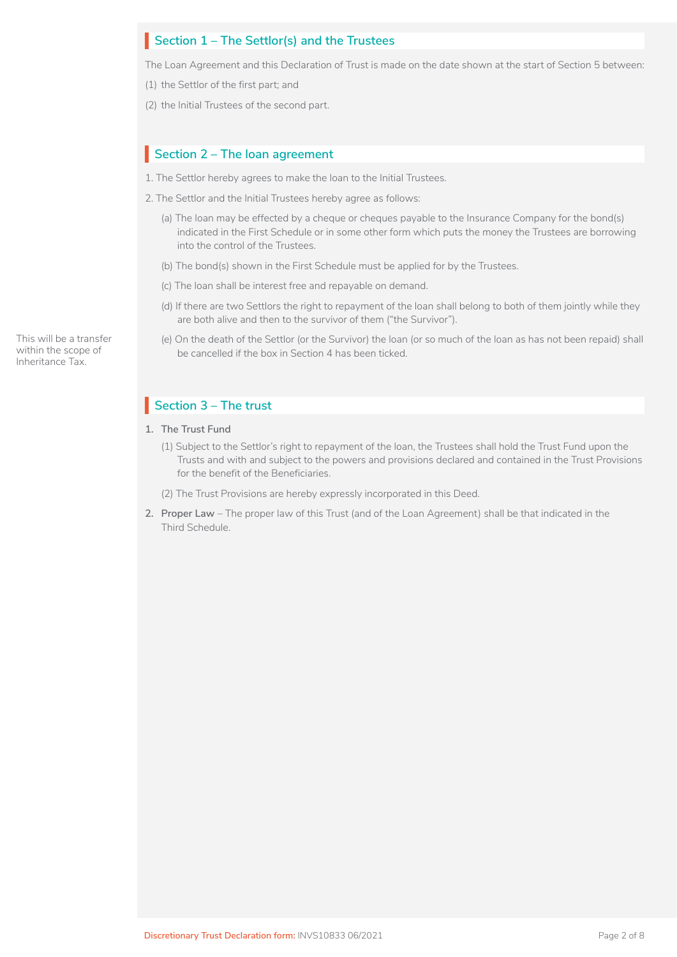# Section 1 – The Settlor(s) and the Trustees

The Loan Agreement and this Declaration of Trust is made on the date shown at the start of Section 5 between:

- (1) the Settlor of the first part; and
- (2) the Initial Trustees of the second part.

# Section 2 - The loan agreement

1. The Settlor hereby agrees to make the loan to the Initial Trustees.

- 2. The Settlor and the Initial Trustees hereby agree as follows:
	- (a) The loan may be effected by a cheque or cheques payable to the Insurance Company for the bond(s) indicated in the First Schedule or in some other form which puts the money the Trustees are borrowing into the control of the Trustees.
	- (b) The bond(s) shown in the First Schedule must be applied for by the Trustees.
	- (c) The loan shall be interest free and repayable on demand.
	- (d) If there are two Settlors the right to repayment of the loan shall belong to both of them jointly while they are both alive and then to the survivor of them ("the Survivor").
	- (e) On the death of the Settlor (or the Survivor) the loan (or so much of the loan as has not been repaid) shall be cancelled if the box in Section 4 has been ticked.

# **Section 3 – The trust**

- **1. The Trust Fund**
	- (1) Subject to the Settlor's right to repayment of the loan, the Trustees shall hold the Trust Fund upon the Trusts and with and subject to the powers and provisions declared and contained in the Trust Provisions for the benefit of the Beneficiaries.
	- (2) The Trust Provisions are hereby expressly incorporated in this Deed.
- **2. Proper Law**  The proper law of this Trust (and of the Loan Agreement) shall be that indicated in the Third Schedule.

This will be a transfer within the scope of Inheritance Tax.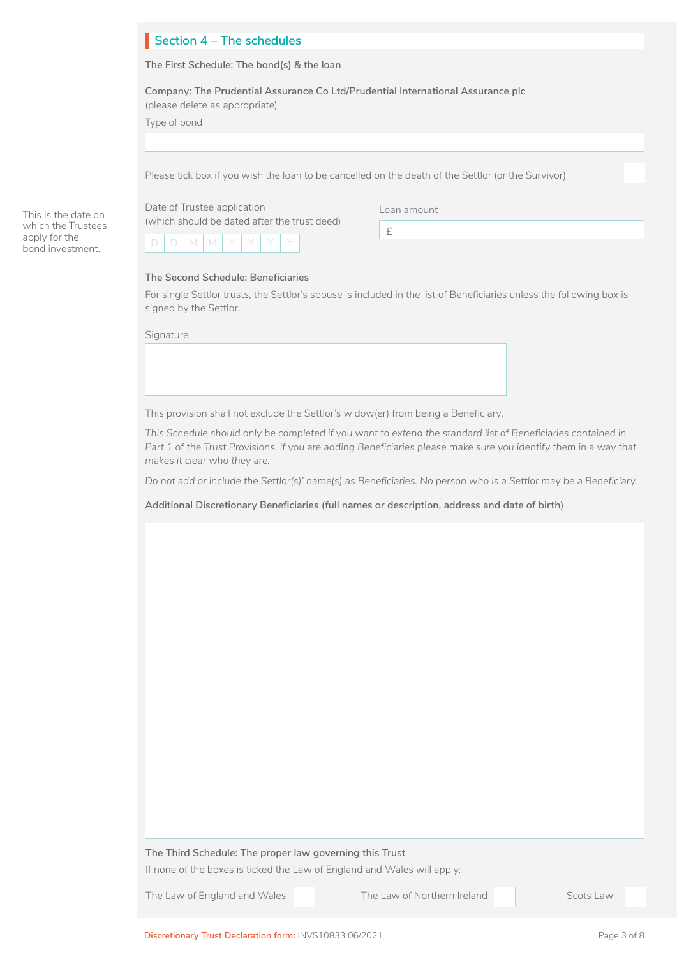# Section 4 – The schedules

**The First Schedule: The bond(s) & the loan**

**Company: The Prudential Assurance Co Ltd/Prudential International Assurance plc**  (please delete as appropriate)

|  | Type of bond |
|--|--------------|
|  |              |

Please tick box if you wish the loan to be cancelled on the death of the Settlor (or the Survivor)

Date of Trustee application (which should be dated after the trust deed)

Loan amount

| н |  |  |  |  |
|---|--|--|--|--|
|   |  |  |  |  |

#### **The Second Schedule: Beneficiaries**

For single Settlor trusts, the Settlor's spouse is included in the list of Beneficiaries unless the following box is signed by the Settlor.

£

**Signature** 

This is the date on which the Trustees apply for the bond investment.



This provision shall not exclude the Settlor's widow(er) from being a Beneficiary.

*This Schedule should only be completed if you want to extend the standard list of Beneficiaries contained in*  Part 1 of the Trust Provisions. If you are adding Beneficiaries please make sure you identify them in a way that *makes it clear who they are.*

*Do not add or include the Settlor(s)' name(s) as Beneficiaries. No person who is a Settlor may be a Beneficiary.*

**Additional Discretionary Beneficiaries (full names or description, address and date of birth)**

#### **The Third Schedule: The proper law governing this Trust**

If none of the boxes is ticked the Law of England and Wales will apply:

The Law of England and Wales The Law of Northern Ireland Scots Law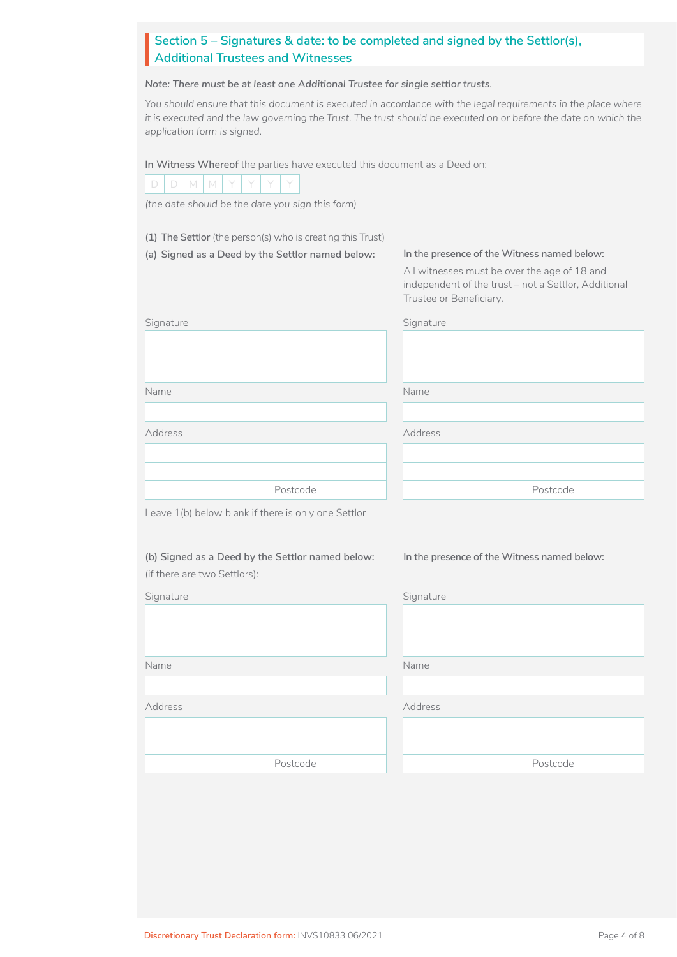# Section 5 – Signatures & date: to be completed and signed by the Settlor(s),<br>Additional Trustees and Witnesses **Additional Trustees and Witnesses**

*Note: There must be at least one Additional Trustee for single settlor trusts.*

*You should ensure that this document is executed in accordance with the legal requirements in the place where it is executed and the law governing the Trust. The trust should be executed on or before the date on which the application form is signed.*

**In Witness Whereof** the parties have executed this document as a Deed on:

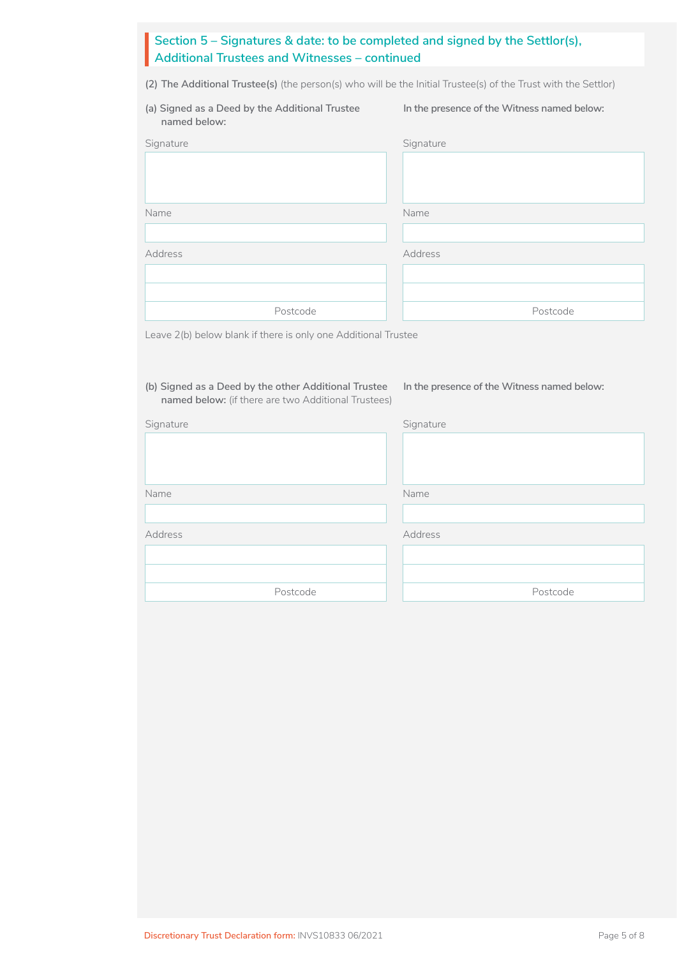# **Section 5 – Signatures & date: to be completed and signed by the Settlor(s), Additional Trustees and Witnesses – continued** See<br>Ad

**(2) The Additional Trustee(s)** (the person(s) who will be the Initial Trustee(s) of the Trust with the Settlor)

| (a) Signed as a Deed by the Additional Trustee<br>named below: | In the presence of the Witness named below: |
|----------------------------------------------------------------|---------------------------------------------|
| Signature                                                      | Signature                                   |
|                                                                |                                             |
|                                                                |                                             |
| Name                                                           | Name                                        |
|                                                                |                                             |
| Address                                                        | Address                                     |
|                                                                |                                             |
|                                                                |                                             |
| Postcode                                                       | Postcode                                    |

Leave 2(b) below blank if there is only one Additional Trustee

## **(b) Signed as a Deed by the other Additional Trustee named below:** (if there are two Additional Trustees)

### **In the presence of the Witness named below:**

| Signature | Signature |  |
|-----------|-----------|--|
|           |           |  |
|           |           |  |
| Name      | Name      |  |
|           |           |  |
|           |           |  |
| Address   | Address   |  |
|           |           |  |
|           |           |  |
| Postcode  | Postcode  |  |
|           |           |  |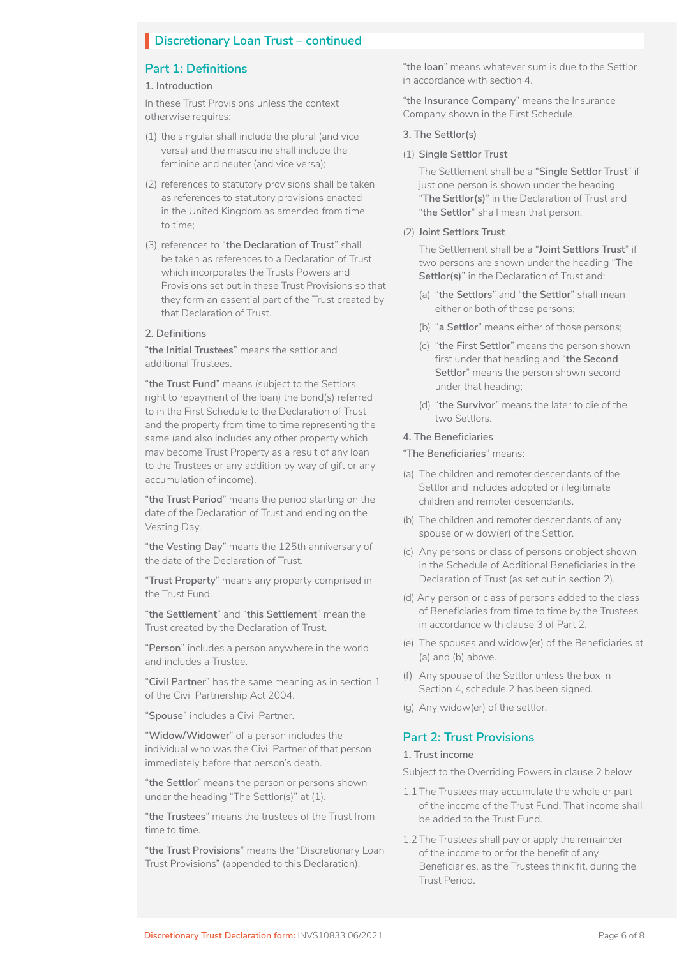# **Discretionary Loan Trust – continued**

# **Part 1: Definitions**

#### **1. Introduction**

In these Trust Provisions unless the context otherwise requires:

- (1) the singular shall include the plural (and vice versa) and the masculine shall include the feminine and neuter (and vice versa);
- (2) references to statutory provisions shall be taken as references to statutory provisions enacted in the United Kingdom as amended from time to time;
- (3) references to "**the Declaration of Trust**" shall be taken as references to a Declaration of Trust which incorporates the Trusts Powers and Provisions set out in these Trust Provisions so that they form an essential part of the Trust created by that Declaration of Trust.

### **2. Definitions**

"**the Initial Trustees**" means the settlor and additional Trustees.

"**the Trust Fund**" means (subject to the Settlors right to repayment of the loan) the bond(s) referred to in the First Schedule to the Declaration of Trust and the property from time to time representing the same (and also includes any other property which may become Trust Property as a result of any loan to the Trustees or any addition by way of gift or any accumulation of income).

"**the Trust Period**" means the period starting on the date of the Declaration of Trust and ending on the Vesting Day.

"**the Vesting Day**" means the 125th anniversary of the date of the Declaration of Trust.

"**Trust Property**" means any property comprised in the Trust Fund.

"**the Settlement**" and "**this Settlement**" mean the Trust created by the Declaration of Trust.

"**Person**" includes a person anywhere in the world and includes a Trustee.

"**Civil Partner**" has the same meaning as in section 1 of the Civil Partnership Act 2004.

"**Spouse**" includes a Civil Partner.

"**Widow/Widower**" of a person includes the individual who was the Civil Partner of that person immediately before that person's death.

"**the Settlor**" means the person or persons shown under the heading "The Settlor(s)" at (1).

"**the Trustees**" means the trustees of the Trust from time to time.

"**the Trust Provisions**" means the "Discretionary Loan Trust Provisions" (appended to this Declaration).

"**the loan**" means whatever sum is due to the Settlor in accordance with section 4.

"**the Insurance Company**" means the Insurance Company shown in the First Schedule.

#### **3. The Settlor(s)**

#### (1) **Single Settlor Trust**

The Settlement shall be a "**Single Settlor Trust**" if just one person is shown under the heading "**The Settlor(s)**" in the Declaration of Trust and "**the Settlor**" shall mean that person.

(2) **Joint Settlors Trust**

The Settlement shall be a "**Joint Settlors Trust**" if two persons are shown under the heading "**The Settlor(s)**" in the Declaration of Trust and:

- (a) "**the Settlors**" and "**the Settlor**" shall mean either or both of those persons;
- (b) "**a Settlor**" means either of those persons;
- (c) "**the First Settlor**" means the person shown first under that heading and "**the Second Settlor**" means the person shown second under that heading;
- (d) "**the Survivor**" means the later to die of the two Settlors.

### **4. The Beneficiaries**

## "**The Beneficiaries**" means:

- (a) The children and remoter descendants of the Settlor and includes adopted or illegitimate children and remoter descendants.
- (b) The children and remoter descendants of any spouse or widow(er) of the Settlor.
- (c) Any persons or class of persons or object shown in the Schedule of Additional Beneficiaries in the Declaration of Trust (as set out in section 2).
- (d) Any person or class of persons added to the class of Beneficiaries from time to time by the Trustees in accordance with clause 3 of Part 2.
- (e) The spouses and widow(er) of the Beneficiaries at (a) and (b) above.
- (f) Any spouse of the Settlor unless the box in Section 4, schedule 2 has been signed.
- (g) Any widow(er) of the settlor.

### **Part 2: Trust Provisions**

#### **1. Trust income**

Subject to the Overriding Powers in clause 2 below

- 1.1 The Trustees may accumulate the whole or part of the income of the Trust Fund. That income shall be added to the Trust Fund.
- 1.2 The Trustees shall pay or apply the remainder of the income to or for the benefit of any Beneficiaries, as the Trustees think fit, during the Trust Period.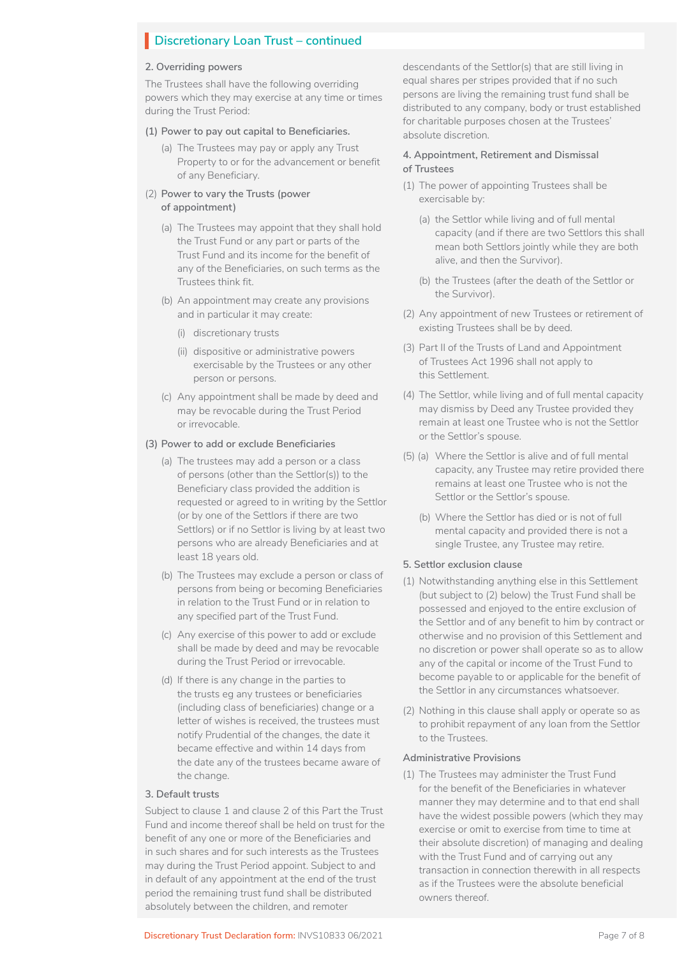# **Discretionary Loan Trust – continued**

### **2. Overriding powers**

The Trustees shall have the following overriding powers which they may exercise at any time or times during the Trust Period:

### **(1) Power to pay out capital to Beneficiaries.**

(a) The Trustees may pay or apply any Trust Property to or for the advancement or benefit of any Beneficiary.

### (2) **Power to vary the Trusts (power of appointment)**

- (a) The Trustees may appoint that they shall hold the Trust Fund or any part or parts of the Trust Fund and its income for the benefit of any of the Beneficiaries, on such terms as the Trustees think fit.
- (b) An appointment may create any provisions and in particular it may create:
	- (i) discretionary trusts
	- (ii) dispositive or administrative powers exercisable by the Trustees or any other person or persons.
- (c) Any appointment shall be made by deed and may be revocable during the Trust Period or irrevocable.

#### **(3) Power to add or exclude Beneficiaries**

- (a) The trustees may add a person or a class of persons (other than the Settlor(s)) to the Beneficiary class provided the addition is requested or agreed to in writing by the Settlor (or by one of the Settlors if there are two Settlors) or if no Settlor is living by at least two persons who are already Beneficiaries and at least 18 years old.
- (b) The Trustees may exclude a person or class of persons from being or becoming Beneficiaries in relation to the Trust Fund or in relation to any specified part of the Trust Fund.
- (c) Any exercise of this power to add or exclude shall be made by deed and may be revocable during the Trust Period or irrevocable.
- (d) If there is any change in the parties to the trusts eg any trustees or beneficiaries (including class of beneficiaries) change or a letter of wishes is received, the trustees must notify Prudential of the changes, the date it became effective and within 14 days from the date any of the trustees became aware of the change.

#### **3. Default trusts**

Subject to clause 1 and clause 2 of this Part the Trust Fund and income thereof shall be held on trust for the benefit of any one or more of the Beneficiaries and in such shares and for such interests as the Trustees may during the Trust Period appoint. Subject to and in default of any appointment at the end of the trust period the remaining trust fund shall be distributed absolutely between the children, and remoter

descendants of the Settlor(s) that are still living in equal shares per stripes provided that if no such persons are living the remaining trust fund shall be distributed to any company, body or trust established for charitable purposes chosen at the Trustees' absolute discretion.

### **4. Appointment, Retirement and Dismissal of Trustees**

- (1) The power of appointing Trustees shall be exercisable by:
	- (a) the Settlor while living and of full mental capacity (and if there are two Settlors this shall mean both Settlors jointly while they are both alive, and then the Survivor).
	- (b) the Trustees (after the death of the Settlor or the Survivor).
- (2) Any appointment of new Trustees or retirement of existing Trustees shall be by deed.
- (3) Part II of the Trusts of Land and Appointment of Trustees Act 1996 shall not apply to this Settlement.
- (4) The Settlor, while living and of full mental capacity may dismiss by Deed any Trustee provided they remain at least one Trustee who is not the Settlor or the Settlor's spouse.
- (5) (a) Where the Settlor is alive and of full mental capacity, any Trustee may retire provided there remains at least one Trustee who is not the Settlor or the Settlor's spouse.
	- (b) Where the Settlor has died or is not of full mental capacity and provided there is not a single Trustee, any Trustee may retire.

## **5. Settlor exclusion clause**

- (1) Notwithstanding anything else in this Settlement (but subject to (2) below) the Trust Fund shall be possessed and enjoyed to the entire exclusion of the Settlor and of any benefit to him by contract or otherwise and no provision of this Settlement and no discretion or power shall operate so as to allow any of the capital or income of the Trust Fund to become payable to or applicable for the benefit of the Settlor in any circumstances whatsoever.
- (2) Nothing in this clause shall apply or operate so as to prohibit repayment of any loan from the Settlor to the Trustees.

#### **Administrative Provisions**

(1) The Trustees may administer the Trust Fund for the benefit of the Beneficiaries in whatever manner they may determine and to that end shall have the widest possible powers (which they may exercise or omit to exercise from time to time at their absolute discretion) of managing and dealing with the Trust Fund and of carrying out any transaction in connection therewith in all respects as if the Trustees were the absolute beneficial owners thereof.